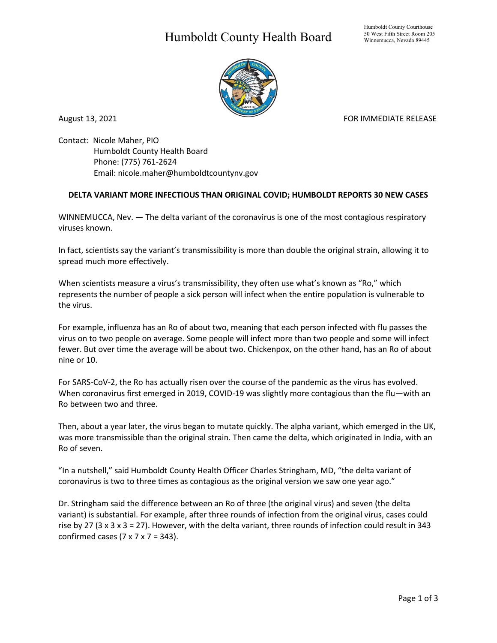## Humboldt County Health Board



August 13, 2021 **FOR IMMEDIATE RELEASE** 

Contact: Nicole Maher, PIO Humboldt County Health Board Phone: (775) 761-2624 Email: nicole.maher@humboldtcountynv.gov

## **DELTA VARIANT MORE INFECTIOUS THAN ORIGINAL COVID; HUMBOLDT REPORTS 30 NEW CASES**

WINNEMUCCA, Nev. — The delta variant of the coronavirus is one of the most contagious respiratory viruses known.

In fact, scientists say the variant's transmissibility is more than double the original strain, allowing it to spread much more effectively.

When scientists measure a virus's transmissibility, they often use what's known as "Ro," which represents the number of people a sick person will infect when the entire population is vulnerable to the virus.

For example, influenza has an Ro of about two, meaning that each person infected with flu passes the virus on to two people on average. Some people will infect more than two people and some will infect fewer. But over time the average will be about two. Chickenpox, on the other hand, has an Ro of about nine or 10.

For SARS-CoV-2, the Ro has actually risen over the course of the pandemic as the virus has evolved. When coronavirus first emerged in 2019, COVID-19 was slightly more contagious than the flu—with an Ro between two and three.

Then, about a year later, the virus began to mutate quickly. The alpha variant, which emerged in the UK, was more transmissible than the original strain. Then came the delta, which originated in India, with an Ro of seven.

"In a nutshell," said Humboldt County Health Officer Charles Stringham, MD, "the delta variant of coronavirus is two to three times as contagious as the original version we saw one year ago."

Dr. Stringham said the difference between an Ro of three (the original virus) and seven (the delta variant) is substantial. For example, after three rounds of infection from the original virus, cases could rise by 27 (3 x 3 x 3 = 27). However, with the delta variant, three rounds of infection could result in 343 confirmed cases  $(7 \times 7 \times 7 = 343)$ .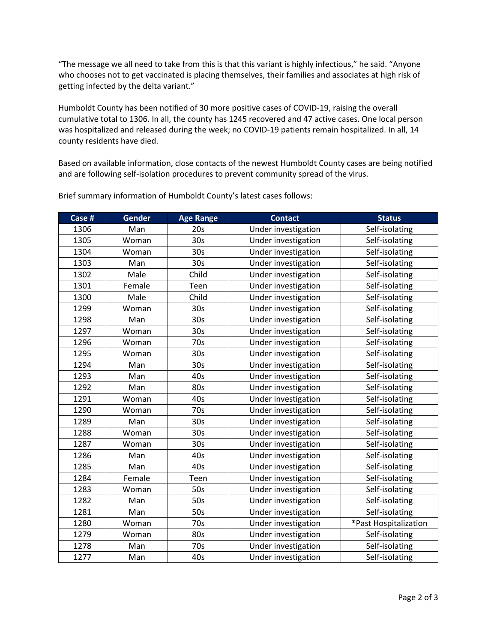"The message we all need to take from this is that this variant is highly infectious," he said. "Anyone who chooses not to get vaccinated is placing themselves, their families and associates at high risk of getting infected by the delta variant."

Humboldt County has been notified of 30 more positive cases of COVID-19, raising the overall cumulative total to 1306. In all, the county has 1245 recovered and 47 active cases. One local person was hospitalized and released during the week; no COVID-19 patients remain hospitalized. In all, 14 county residents have died.

Based on available information, close contacts of the newest Humboldt County cases are being notified and are following self-isolation procedures to prevent community spread of the virus.

| Case # | <b>Gender</b> | <b>Age Range</b> | <b>Contact</b>      | <b>Status</b>         |
|--------|---------------|------------------|---------------------|-----------------------|
| 1306   | Man           | 20s              | Under investigation | Self-isolating        |
| 1305   | Woman         | 30 <sub>s</sub>  | Under investigation | Self-isolating        |
| 1304   | Woman         | 30 <sub>s</sub>  | Under investigation | Self-isolating        |
| 1303   | Man           | 30 <sub>s</sub>  | Under investigation | Self-isolating        |
| 1302   | Male          | Child            | Under investigation | Self-isolating        |
| 1301   | Female        | Teen             | Under investigation | Self-isolating        |
| 1300   | Male          | Child            | Under investigation | Self-isolating        |
| 1299   | Woman         | 30 <sub>s</sub>  | Under investigation | Self-isolating        |
| 1298   | Man           | 30 <sub>s</sub>  | Under investigation | Self-isolating        |
| 1297   | Woman         | 30 <sub>s</sub>  | Under investigation | Self-isolating        |
| 1296   | Woman         | 70s              | Under investigation | Self-isolating        |
| 1295   | Woman         | 30 <sub>s</sub>  | Under investigation | Self-isolating        |
| 1294   | Man           | 30 <sub>s</sub>  | Under investigation | Self-isolating        |
| 1293   | Man           | 40s              | Under investigation | Self-isolating        |
| 1292   | Man           | 80s              | Under investigation | Self-isolating        |
| 1291   | Woman         | 40s              | Under investigation | Self-isolating        |
| 1290   | Woman         | 70s              | Under investigation | Self-isolating        |
| 1289   | Man           | 30 <sub>s</sub>  | Under investigation | Self-isolating        |
| 1288   | Woman         | 30 <sub>s</sub>  | Under investigation | Self-isolating        |
| 1287   | Woman         | 30 <sub>s</sub>  | Under investigation | Self-isolating        |
| 1286   | Man           | 40s              | Under investigation | Self-isolating        |
| 1285   | Man           | 40s              | Under investigation | Self-isolating        |
| 1284   | Female        | Teen             | Under investigation | Self-isolating        |
| 1283   | Woman         | 50s              | Under investigation | Self-isolating        |
| 1282   | Man           | 50s              | Under investigation | Self-isolating        |
| 1281   | Man           | 50s              | Under investigation | Self-isolating        |
| 1280   | Woman         | 70s              | Under investigation | *Past Hospitalization |
| 1279   | Woman         | 80s              | Under investigation | Self-isolating        |
| 1278   | Man           | 70s              | Under investigation | Self-isolating        |
| 1277   | Man           | 40s              | Under investigation | Self-isolating        |

Brief summary information of Humboldt County's latest cases follows: